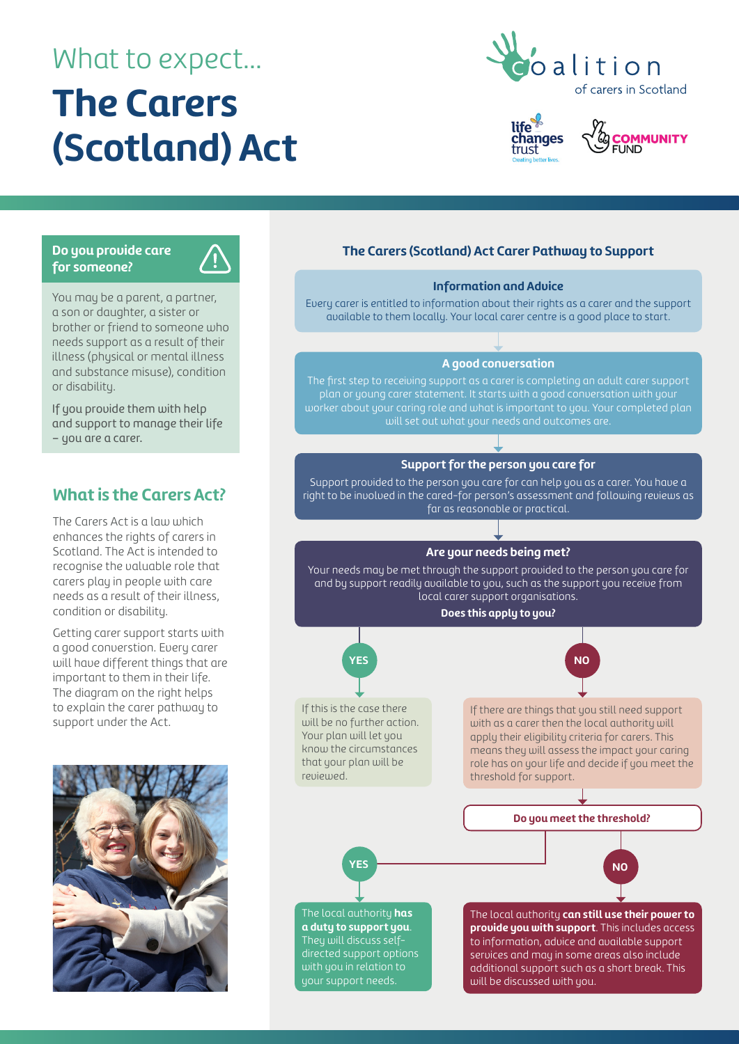# What to expect... **The Carers (Scotland) Act**





#### **Do you provide care for someone?**



You may be a parent, a partner, a son or daughter, a sister or brother or friend to someone who needs support as a result of their illness (physical or mental illness and substance misuse), condition or disability.

If you provide them with help and support to manage their life – you are a carer.

# **What is the Carers Act?**

The Carers Act is a law which enhances the rights of carers in Scotland. The Act is intended to recognise the valuable role that carers play in people with care needs as a result of their illness, condition or disability.

Getting carer support starts with a good converstion. Every carer will have different things that are important to them in their life. The diagram on the right helps to explain the carer pathway to support under the Act.



#### **The Carers (Scotland) Act Carer Pathway to Support**

#### **Information and Advice**

Every carer is entitled to information about their rights as a carer and the support available to them locally. Your local carer centre is a good place to start.

#### **A good conversation**

The first step to receiving support as a carer is completing an adult carer support plan or young carer statement. It starts with a good conversation with your worker about your caring role and what is important to you. Your completed plan will set out what your needs and outcomes are.

#### **Support for the person you care for**

Support provided to the person you care for can help you as a carer. You have a right to be involved in the cared-for person's assessment and following reviews as far as reasonable or practical.

#### **Are your needs being met?**

Your needs may be met through the support provided to the person you care for and by support readily available to you, such as the support you receive from local carer support organisations.

#### **Does this apply to you?**



If this is the case there will be no further action. Your plan will let you know the circumstances that your plan will be reviewed.

**NO**

If there are things that you still need support with as a carer then the local authority will apply their eligibility criteria for carers. This means they will assess the impact your caring role has on your life and decide if you meet the threshold for support.

**Do you meet the threshold?**

The local authority **has a duty to support you**. They will discuss selfdirected support options with you in relation to your support needs.

**YES**

The local authority **can still use their power to provide you with support**. This includes access to information, advice and available support services and may in some areas also include additional support such as a short break. This will be discussed with you.

**NO**